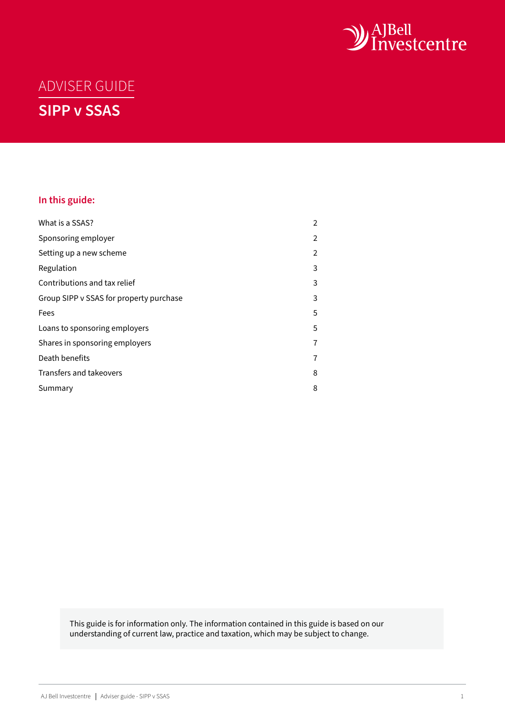

# ADVISER GUIDE **SIPP v SSAS**

# **In this guide:**

| What is a SSAS?                         | 2              |
|-----------------------------------------|----------------|
| Sponsoring employer                     | $\overline{2}$ |
| Setting up a new scheme                 | $\overline{2}$ |
| Regulation                              | 3              |
| Contributions and tax relief            | 3              |
| Group SIPP v SSAS for property purchase | 3              |
| Fees                                    | 5              |
| Loans to sponsoring employers           | 5              |
| Shares in sponsoring employers          | 7              |
| Death benefits                          | 7              |
| Transfers and takeovers                 | 8              |
| Summary                                 | 8              |

This guide is for information only. The information contained in this guide is based on our understanding of current law, practice and taxation, which may be subject to change.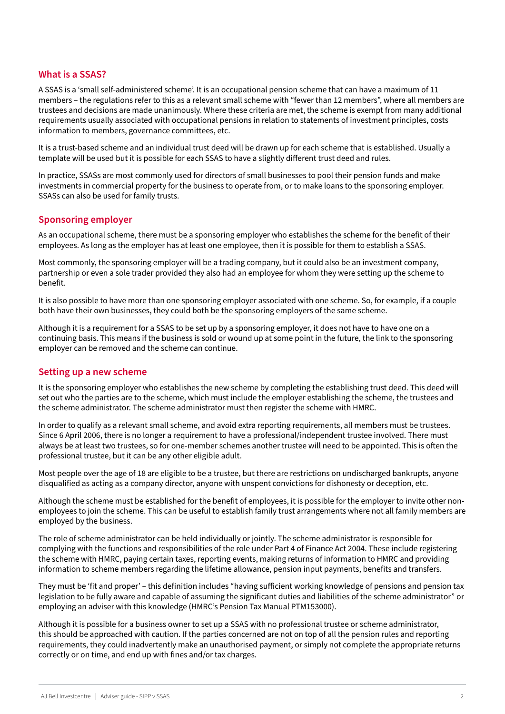## <span id="page-1-0"></span>**What is a SSAS?**

A SSAS is a 'small self-administered scheme'. It is an occupational pension scheme that can have a maximum of 11 members – the regulations refer to this as a relevant small scheme with "fewer than 12 members", where all members are trustees and decisions are made unanimously. Where these criteria are met, the scheme is exempt from many additional requirements usually associated with occupational pensions in relation to statements of investment principles, costs information to members, governance committees, etc.

It is a trust-based scheme and an individual trust deed will be drawn up for each scheme that is established. Usually a template will be used but it is possible for each SSAS to have a slightly different trust deed and rules.

In practice, SSASs are most commonly used for directors of small businesses to pool their pension funds and make investments in commercial property for the business to operate from, or to make loans to the sponsoring employer. SSASs can also be used for family trusts.

## **Sponsoring employer**

As an occupational scheme, there must be a sponsoring employer who establishes the scheme for the benefit of their employees. As long as the employer has at least one employee, then it is possible for them to establish a SSAS.

Most commonly, the sponsoring employer will be a trading company, but it could also be an investment company, partnership or even a sole trader provided they also had an employee for whom they were setting up the scheme to benefit.

It is also possible to have more than one sponsoring employer associated with one scheme. So, for example, if a couple both have their own businesses, they could both be the sponsoring employers of the same scheme.

Although it is a requirement for a SSAS to be set up by a sponsoring employer, it does not have to have one on a continuing basis. This means if the business is sold or wound up at some point in the future, the link to the sponsoring employer can be removed and the scheme can continue.

#### **Setting up a new scheme**

It is the sponsoring employer who establishes the new scheme by completing the establishing trust deed. This deed will set out who the parties are to the scheme, which must include the employer establishing the scheme, the trustees and the scheme administrator. The scheme administrator must then register the scheme with HMRC.

In order to qualify as a relevant small scheme, and avoid extra reporting requirements, all members must be trustees. Since 6 April 2006, there is no longer a requirement to have a professional/independent trustee involved. There must always be at least two trustees, so for one-member schemes another trustee will need to be appointed. This is often the professional trustee, but it can be any other eligible adult.

Most people over the age of 18 are eligible to be a trustee, but there are restrictions on undischarged bankrupts, anyone disqualified as acting as a company director, anyone with unspent convictions for dishonesty or deception, etc.

Although the scheme must be established for the benefit of employees, it is possible for the employer to invite other nonemployees to join the scheme. This can be useful to establish family trust arrangements where not all family members are employed by the business.

The role of scheme administrator can be held individually or jointly. The scheme administrator is responsible for complying with the functions and responsibilities of the role under Part 4 of Finance Act 2004. These include registering the scheme with HMRC, paying certain taxes, reporting events, making returns of information to HMRC and providing information to scheme members regarding the lifetime allowance, pension input payments, benefits and transfers.

They must be 'fit and proper' – this definition includes "having sufficient working knowledge of pensions and pension tax legislation to be fully aware and capable of assuming the significant duties and liabilities of the scheme administrator" or employing an adviser with this knowledge (HMRC's Pension Tax Manual PTM153000).

Although it is possible for a business owner to set up a SSAS with no professional trustee or scheme administrator, this should be approached with caution. If the parties concerned are not on top of all the pension rules and reporting requirements, they could inadvertently make an unauthorised payment, or simply not complete the appropriate returns correctly or on time, and end up with fines and/or tax charges.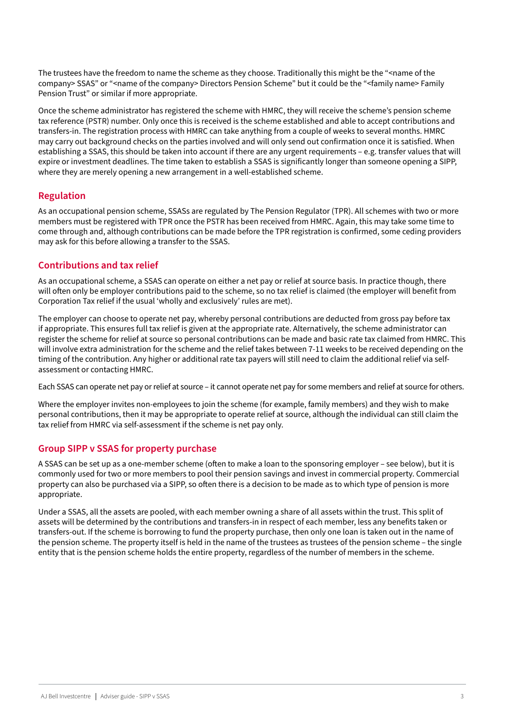<span id="page-2-0"></span>The trustees have the freedom to name the scheme as they choose. Traditionally this might be the "<name of the company> SSAS" or "<name of the company> Directors Pension Scheme" but it could be the "<family name> Family Pension Trust" or similar if more appropriate.

Once the scheme administrator has registered the scheme with HMRC, they will receive the scheme's pension scheme tax reference (PSTR) number. Only once this is received is the scheme established and able to accept contributions and transfers-in. The registration process with HMRC can take anything from a couple of weeks to several months. HMRC may carry out background checks on the parties involved and will only send out confirmation once it is satisfied. When establishing a SSAS, this should be taken into account if there are any urgent requirements – e.g. transfer values that will expire or investment deadlines. The time taken to establish a SSAS is significantly longer than someone opening a SIPP, where they are merely opening a new arrangement in a well-established scheme.

# **Regulation**

As an occupational pension scheme, SSASs are regulated by The Pension Regulator (TPR). All schemes with two or more members must be registered with TPR once the PSTR has been received from HMRC. Again, this may take some time to come through and, although contributions can be made before the TPR registration is confirmed, some ceding providers may ask for this before allowing a transfer to the SSAS.

# **Contributions and tax relief**

As an occupational scheme, a SSAS can operate on either a net pay or relief at source basis. In practice though, there will often only be employer contributions paid to the scheme, so no tax relief is claimed (the employer will benefit from Corporation Tax relief if the usual 'wholly and exclusively' rules are met).

The employer can choose to operate net pay, whereby personal contributions are deducted from gross pay before tax if appropriate. This ensures full tax relief is given at the appropriate rate. Alternatively, the scheme administrator can register the scheme for relief at source so personal contributions can be made and basic rate tax claimed from HMRC. This will involve extra administration for the scheme and the relief takes between 7-11 weeks to be received depending on the timing of the contribution. Any higher or additional rate tax payers will still need to claim the additional relief via selfassessment or contacting HMRC.

Each SSAS can operate net pay or relief at source – it cannot operate net pay for some members and relief at source for others.

Where the employer invites non-employees to join the scheme (for example, family members) and they wish to make personal contributions, then it may be appropriate to operate relief at source, although the individual can still claim the tax relief from HMRC via self-assessment if the scheme is net pay only.

# **Group SIPP v SSAS for property purchase**

A SSAS can be set up as a one-member scheme (often to make a loan to the sponsoring employer – see below), but it is commonly used for two or more members to pool their pension savings and invest in commercial property. Commercial property can also be purchased via a SIPP, so often there is a decision to be made as to which type of pension is more appropriate.

Under a SSAS, all the assets are pooled, with each member owning a share of all assets within the trust. This split of assets will be determined by the contributions and transfers-in in respect of each member, less any benefits taken or transfers-out. If the scheme is borrowing to fund the property purchase, then only one loan is taken out in the name of the pension scheme. The property itself is held in the name of the trustees as trustees of the pension scheme – the single entity that is the pension scheme holds the entire property, regardless of the number of members in the scheme.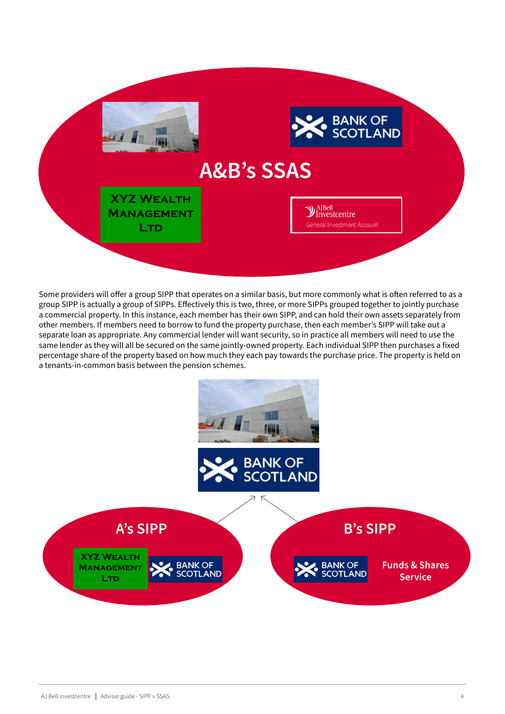

Some providers will offer a group SIPP that operates on a similar basis, but more commonly what is often referred to as a group SIPP is actually a group of SIPPs. Effectively this is two, three, or more SIPPs grouped together to jointly purchase a commercial property. In this instance, each member has their own SIPP, and can hold their own assets separately from other members. If members need to borrow to fund the property purchase, then each member's SIPP will take out a separate loan as appropriate. Any commercial lender will want security, so in practice all members will need to use the same lender as they will all be secured on the same jointly-owned property. Each individual SIPP then purchases a fixed percentage share of the property based on how much they each pay towards the purchase price. The property is held on a tenants-in-common basis between the pension schemes.

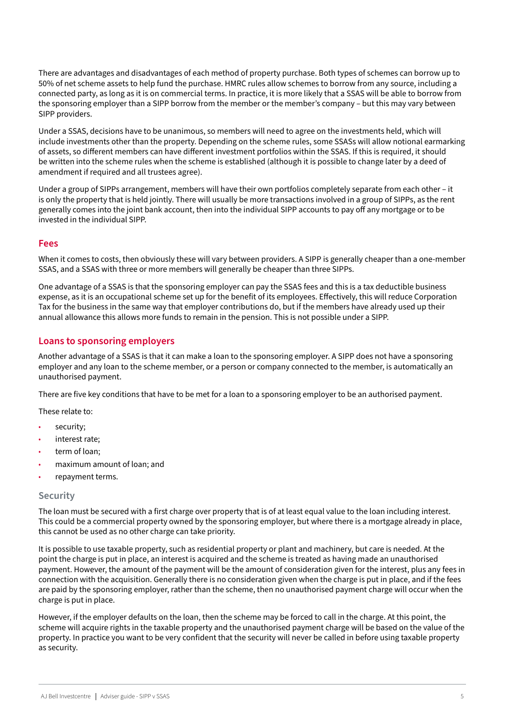<span id="page-4-0"></span>There are advantages and disadvantages of each method of property purchase. Both types of schemes can borrow up to 50% of net scheme assets to help fund the purchase. HMRC rules allow schemes to borrow from any source, including a connected party, as long as it is on commercial terms. In practice, it is more likely that a SSAS will be able to borrow from the sponsoring employer than a SIPP borrow from the member or the member's company – but this may vary between SIPP providers.

Under a SSAS, decisions have to be unanimous, so members will need to agree on the investments held, which will include investments other than the property. Depending on the scheme rules, some SSASs will allow notional earmarking of assets, so different members can have different investment portfolios within the SSAS. If this is required, it should be written into the scheme rules when the scheme is established (although it is possible to change later by a deed of amendment if required and all trustees agree).

Under a group of SIPPs arrangement, members will have their own portfolios completely separate from each other – it is only the property that is held jointly. There will usually be more transactions involved in a group of SIPPs, as the rent generally comes into the joint bank account, then into the individual SIPP accounts to pay off any mortgage or to be invested in the individual SIPP.

## **Fees**

When it comes to costs, then obviously these will vary between providers. A SIPP is generally cheaper than a one-member SSAS, and a SSAS with three or more members will generally be cheaper than three SIPPs.

One advantage of a SSAS is that the sponsoring employer can pay the SSAS fees and this is a tax deductible business expense, as it is an occupational scheme set up for the benefit of its employees. Effectively, this will reduce Corporation Tax for the business in the same way that employer contributions do, but if the members have already used up their annual allowance this allows more funds to remain in the pension. This is not possible under a SIPP.

# **Loans to sponsoring employers**

Another advantage of a SSAS is that it can make a loan to the sponsoring employer. A SIPP does not have a sponsoring employer and any loan to the scheme member, or a person or company connected to the member, is automatically an unauthorised payment.

There are five key conditions that have to be met for a loan to a sponsoring employer to be an authorised payment.

These relate to:

- security:
- interest rate;
- term of loan:
- maximum amount of loan; and
- repayment terms.

#### **Security**

The loan must be secured with a first charge over property that is of at least equal value to the loan including interest. This could be a commercial property owned by the sponsoring employer, but where there is a mortgage already in place, this cannot be used as no other charge can take priority.

It is possible to use taxable property, such as residential property or plant and machinery, but care is needed. At the point the charge is put in place, an interest is acquired and the scheme is treated as having made an unauthorised payment. However, the amount of the payment will be the amount of consideration given for the interest, plus any fees in connection with the acquisition. Generally there is no consideration given when the charge is put in place, and if the fees are paid by the sponsoring employer, rather than the scheme, then no unauthorised payment charge will occur when the charge is put in place.

However, if the employer defaults on the loan, then the scheme may be forced to call in the charge. At this point, the scheme will acquire rights in the taxable property and the unauthorised payment charge will be based on the value of the property. In practice you want to be very confident that the security will never be called in before using taxable property as security.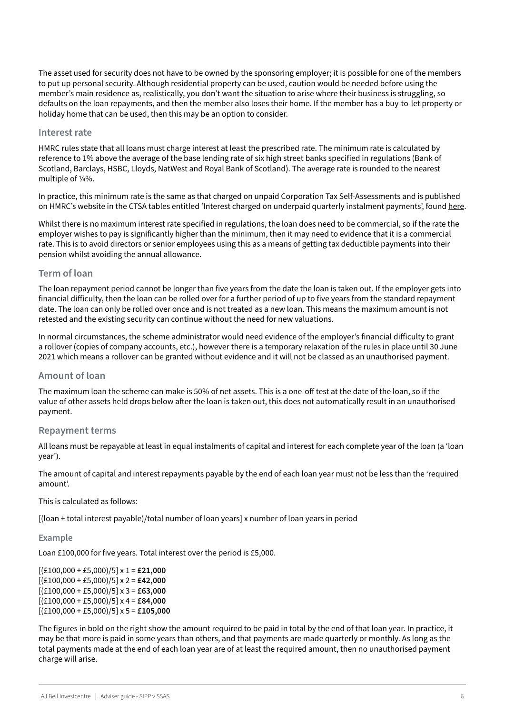The asset used for security does not have to be owned by the sponsoring employer; it is possible for one of the members to put up personal security. Although residential property can be used, caution would be needed before using the member's main residence as, realistically, you don't want the situation to arise where their business is struggling, so defaults on the loan repayments, and then the member also loses their home. If the member has a buy-to-let property or holiday home that can be used, then this may be an option to consider.

#### **Interest rate**

HMRC rules state that all loans must charge interest at least the prescribed rate. The minimum rate is calculated by reference to 1% above the average of the base lending rate of six high street banks specified in regulations (Bank of Scotland, Barclays, HSBC, Lloyds, NatWest and Royal Bank of Scotland). The average rate is rounded to the nearest multiple of ¼%.

In practice, this minimum rate is the same as that charged on unpaid Corporation Tax Self-Assessments and is published on HMRC's website in the CTSA tables entitled 'Interest charged on underpaid quarterly instalment payments', found [here](https://www.gov.uk/government/publications/rates-and-allowances-hmrc-interest-rates-for-late-and-early-payments/rates-and-allowances-hmrc-interest-rates#other-corporation-tax-self-assessment-interest-rates).

Whilst there is no maximum interest rate specified in regulations, the loan does need to be commercial, so if the rate the employer wishes to pay is significantly higher than the minimum, then it may need to evidence that it is a commercial rate. This is to avoid directors or senior employees using this as a means of getting tax deductible payments into their pension whilst avoiding the annual allowance.

## **Term of loan**

The loan repayment period cannot be longer than five years from the date the loan is taken out. If the employer gets into financial difficulty, then the loan can be rolled over for a further period of up to five years from the standard repayment date. The loan can only be rolled over once and is not treated as a new loan. This means the maximum amount is not retested and the existing security can continue without the need for new valuations.

In normal circumstances, the scheme administrator would need evidence of the employer's financial difficulty to grant a rollover (copies of company accounts, etc.), however there is a temporary relaxation of the rules in place until 30 June 2021 which means a rollover can be granted without evidence and it will not be classed as an unauthorised payment.

#### **Amount of loan**

The maximum loan the scheme can make is 50% of net assets. This is a one-off test at the date of the loan, so if the value of other assets held drops below after the loan is taken out, this does not automatically result in an unauthorised payment.

#### **Repayment terms**

All loans must be repayable at least in equal instalments of capital and interest for each complete year of the loan (a 'loan year').

The amount of capital and interest repayments payable by the end of each loan year must not be less than the 'required amount'.

This is calculated as follows:

[(loan + total interest payable)/total number of loan years] x number of loan years in period

#### **Example**

Loan £100,000 for five years. Total interest over the period is £5,000.

[(£100,000 + £5,000)/5] x 1 = **£21,000** [(£100,000 + £5,000)/5] x 2 = **£42,000** [(£100,000 + £5,000)/5] x 3 = **£63,000** [(£100,000 + £5,000)/5] x 4 = **£84,000** [(£100,000 + £5,000)/5] x 5 = **£105,000**

The figures in bold on the right show the amount required to be paid in total by the end of that loan year. In practice, it may be that more is paid in some years than others, and that payments are made quarterly or monthly. As long as the total payments made at the end of each loan year are of at least the required amount, then no unauthorised payment charge will arise.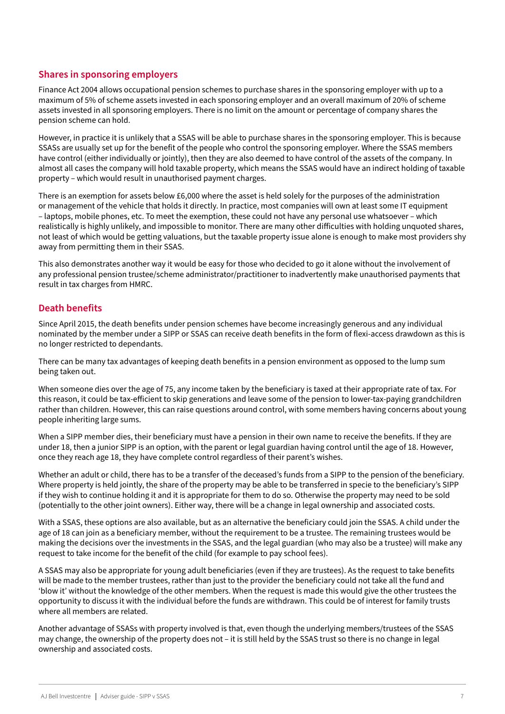# <span id="page-6-0"></span>**Shares in sponsoring employers**

Finance Act 2004 allows occupational pension schemes to purchase shares in the sponsoring employer with up to a maximum of 5% of scheme assets invested in each sponsoring employer and an overall maximum of 20% of scheme assets invested in all sponsoring employers. There is no limit on the amount or percentage of company shares the pension scheme can hold.

However, in practice it is unlikely that a SSAS will be able to purchase shares in the sponsoring employer. This is because SSASs are usually set up for the benefit of the people who control the sponsoring employer. Where the SSAS members have control (either individually or jointly), then they are also deemed to have control of the assets of the company. In almost all cases the company will hold taxable property, which means the SSAS would have an indirect holding of taxable property – which would result in unauthorised payment charges.

There is an exemption for assets below £6,000 where the asset is held solely for the purposes of the administration or management of the vehicle that holds it directly. In practice, most companies will own at least some IT equipment – laptops, mobile phones, etc. To meet the exemption, these could not have any personal use whatsoever – which realistically is highly unlikely, and impossible to monitor. There are many other difficulties with holding unquoted shares, not least of which would be getting valuations, but the taxable property issue alone is enough to make most providers shy away from permitting them in their SSAS.

This also demonstrates another way it would be easy for those who decided to go it alone without the involvement of any professional pension trustee/scheme administrator/practitioner to inadvertently make unauthorised payments that result in tax charges from HMRC.

## **Death benefits**

Since April 2015, the death benefits under pension schemes have become increasingly generous and any individual nominated by the member under a SIPP or SSAS can receive death benefits in the form of flexi-access drawdown as this is no longer restricted to dependants.

There can be many tax advantages of keeping death benefits in a pension environment as opposed to the lump sum being taken out.

When someone dies over the age of 75, any income taken by the beneficiary is taxed at their appropriate rate of tax. For this reason, it could be tax-efficient to skip generations and leave some of the pension to lower-tax-paying grandchildren rather than children. However, this can raise questions around control, with some members having concerns about young people inheriting large sums.

When a SIPP member dies, their beneficiary must have a pension in their own name to receive the benefits. If they are under 18, then a junior SIPP is an option, with the parent or legal guardian having control until the age of 18. However, once they reach age 18, they have complete control regardless of their parent's wishes.

Whether an adult or child, there has to be a transfer of the deceased's funds from a SIPP to the pension of the beneficiary. Where property is held jointly, the share of the property may be able to be transferred in specie to the beneficiary's SIPP if they wish to continue holding it and it is appropriate for them to do so. Otherwise the property may need to be sold (potentially to the other joint owners). Either way, there will be a change in legal ownership and associated costs.

With a SSAS, these options are also available, but as an alternative the beneficiary could join the SSAS. A child under the age of 18 can join as a beneficiary member, without the requirement to be a trustee. The remaining trustees would be making the decisions over the investments in the SSAS, and the legal guardian (who may also be a trustee) will make any request to take income for the benefit of the child (for example to pay school fees).

A SSAS may also be appropriate for young adult beneficiaries (even if they are trustees). As the request to take benefits will be made to the member trustees, rather than just to the provider the beneficiary could not take all the fund and 'blow it' without the knowledge of the other members. When the request is made this would give the other trustees the opportunity to discuss it with the individual before the funds are withdrawn. This could be of interest for family trusts where all members are related.

Another advantage of SSASs with property involved is that, even though the underlying members/trustees of the SSAS may change, the ownership of the property does not – it is still held by the SSAS trust so there is no change in legal ownership and associated costs.